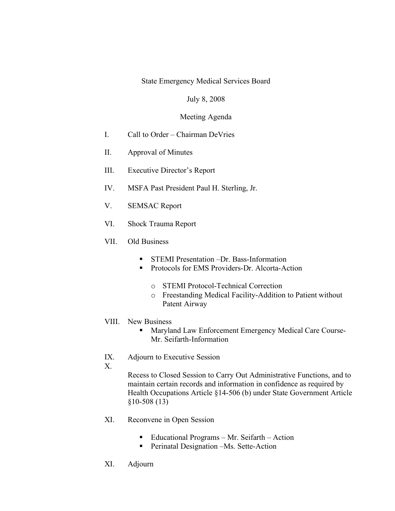State Emergency Medical Services Board

## July 8, 2008

## Meeting Agenda

- I. Call to Order Chairman DeVries
- II. Approval of Minutes
- III. Executive Director's Report
- IV. MSFA Past President Paul H. Sterling, Jr.
- V. SEMSAC Report
- VI. Shock Trauma Report
- VII. Old Business
	- **STEMI Presentation –Dr. Bass-Information**
	- **Protocols for EMS Providers-Dr. Alcorta-Action** 
		- o STEMI Protocol-Technical Correction
		- o Freestanding Medical Facility-Addition to Patient without Patent Airway
- VIII. New Business
	- **Maryland Law Enforcement Emergency Medical Care Course-**Mr. Seifarth-Information
- IX. Adjourn to Executive Session
- X.

Recess to Closed Session to Carry Out Administrative Functions, and to maintain certain records and information in confidence as required by Health Occupations Article §14-506 (b) under State Government Article §10-508 (13)

- XI. Reconvene in Open Session
	- Educational Programs Mr. Seifarth Action
	- Perinatal Designation –Ms. Sette-Action
- XI. Adjourn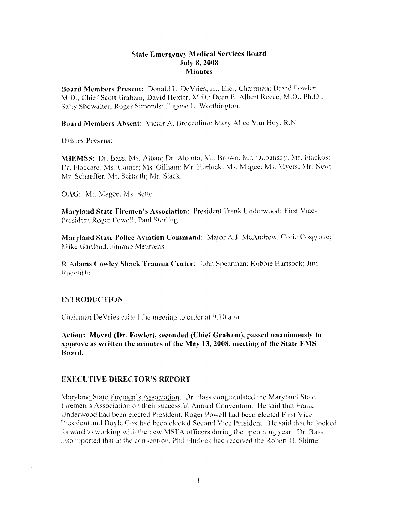### State Emergency Medical Services Board July 8, 2008 **Minutes**

Board Members Present: Donald L. DeVries, Jr., Esq., Chairman; David Fowler, M.D.; Chief Scott Graham; David Hexter, M.D.; Dean E. Albert Reece, M.D., Ph.D.; Sally Showalter; Roger Simonds: Eugene L. Worthington.

Board Members Absent: Victor A. Broccolino; Mary Alice Van Hoy, R.N.

## Others Present:

MIEMSS: Dr. Bass; Ms. Alban; Dr. Alcorta; Mr. Brown; Mr. Dubansky; Mr. Fiackos; Dr. Floccare: Ms. Gainer; Ms. Gilliam: Mr. Hurlock: Ms. Magee; Ms. Myers: Mr. New; l\ir Schaeffer: Mr. Seifarth; Mr. Slack.

OAG: Mr. Magee; Ms. Sette.

Maryland State Firemen's Association: President Frank Underwood; First Vicc-President Roger Powell; Paul Sterling.

Maryland State Police Aviation Command: Major A.J. McAndrcw: Corie Cosgrove; Mike Gartland, Jimmie Meurrens.

R Adams Cowley Shock Trauma Center: John Spearman; Robbie Hartsock; Jim Radcliffe.

## 11\:'fR<>DVCTION

Chairman DeVries called the meeting LO order at 9.10 a.m.

Action: Moved (Dr. Fowler), seconded (Chief Graham), passed unanimously to approve as written the minutes of the May 13, 2008, meeting of the State EMS Hoard.

## EXECUTIVE DIRECTOR'S REPORT

Maryland State Firemen's Association. Dr. Bass congratulated the Maryland State Firemen's Association on their successful Annual Convention. He said that Frank Underwood had been elected President, Roger Powell had been elected first Vice President and Doyle Cox had been elected Second Vice President. He said that he looked forward to working with the new MSFA officers during the upcoming year. Dr. Bass also reported that at the convention, Phil Hurlock had received the Robert H. Shimer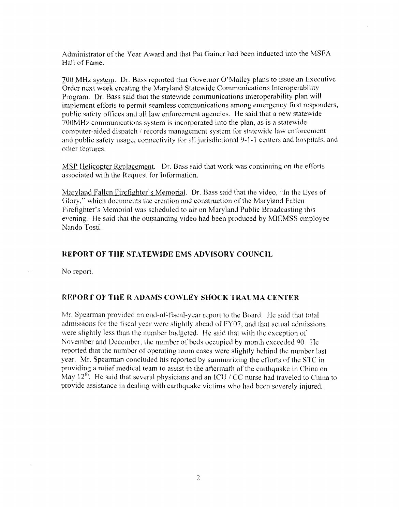Administrator of the Year Award and that Pat Gainer had been inducted into the MSFA Hall of Fame.

700 MHz system. Dr. Bass reported that Governor O'Malley plans to issue an Executive Order next week creating the Maryland Statewide Communications Interoperability Program. Dr. Bass said that the statewide communications interoperability plan will implement efforts to permit seamless communications among emergency first responders, public safety offices and all law enforcement agencies. Ile said that a new statewide 700MHz communications system is incorporated into the plan, as is a statewide computer-aided dispatch / records management system for statewide law enforcement and public safety usage, connectivity for all jurisdictional 9-1-1 centers and hospitals, and other features .

MSP Helicopter Replacement. Dr. Bass said that work was continuing on the efforts associated with the Request for Information.

Maryland Fallen Firefighter's Memorial. Dr. Bass said that the video, "In the Eyes of Glory," which documents the creation and construction of the Maryland Fallen Fircfighter's Memorial was scheduled to air on Maryland Public Broadcasting this evening. He said that the outstanding video had been produced by MIEMSS employee Nando Tosti.

#### **REPORT OF THE STATEWIDE EMS ADVISORY COUNCIL**

No report.

#### **REPORT OF THE R ADAMS COWLEY SHOCK TRAUMA CENTER**

Mr. Spearman provided an end-of-fiscal-year report to the Board. He said that total admissions for the fiscal year were slightly ahead of FY07, and that actual admissions were slightly less than the number budgeted. He said that with the exception of November and December, the number of beds occupied by month exceeded 90. I le reported that the number of operating room cases were slightly behind the number last year. Mr. Spearman concluded his reported by summarizing the efforts of the STC in providing a relief medical team to assist in the aftermath of the earthquake in China on May  $12^{th}$ . He said that several physicians and an ICU / CC nurse had traveled to China to provide assistance in dealing with earthquake victims who had been severely injured.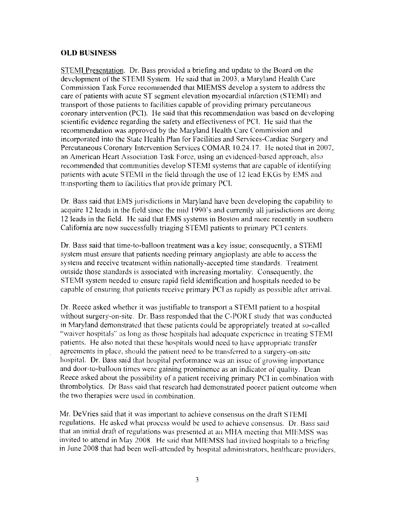## **OLD BUSINESS**

STEMI Presentation. Dr. Bass provided a briefing and update to the Board on the development of the STEMI System. He said that in 2003, a Maryland Health Care Commission Task Force recommended that MIEMSS develop a system to address the care of patients with acute ST segment elevation myocardial infarction (STEM]) and transport of those patients to facilities capable of providing primary percutaneous coronary intervention (PCl). He said that this recommendation was based on developing scientific evidence regarding the safety and effectiveness of PCI. He said that the recommendation was approved by the Maryland Health Care Commission and incorporated into the State Health Plan for Facilities and Services-Cardiac Surgery and Percutaneous Coronary Intervention Services COMAR 10.24. 17. He noted that in 2007, an American Heart Association Task Force, using an evidenced-based approach, also recommended that communities develop STEMI systems that are capable of identifying patients with acute STEMI in the field through the use of 12 lead EKGs by EMS and transporting them to facilities that provide primary PCI.

Dr. Bass said that EMS jurisdictions in Maryland have been developing the capability to acquire 12 leads in the field since the mid 1990's and currently all jurisdictions are doing 12 leads in the field. He said that EMS systems in Boston and more recently in southern California are now successfully triaging STEMI patients to primary PCI centers.

Dr. Bass said that time-to-balloon treatment was a key issue; consequently, a STEMI system must ensure that patients needing primary angioplasty are able to access the system and receive treatment within nationally-accepted time standards. Treatment outside those standards is associated with increasing mortality. Consequently, the STEMI system needed to ensure rapid field identification and hospitals needed to be capable of ensuring that patients receive primary PCT as rapidly as possible after arrival.

Dr. Reece asked whether it was justifiable to transport a STEM I patient to a hospital without surgery-on-site. Dr. Bass responded that the C-PORT study that was conducted in Maryland demonstrated that these patients could be appropriately treated at so-called "waiver hospitals" as long as those hospitals had adequate experience in treating STEMI patients. He also noted that these hospitals would need to have appropriate transfer agreements in place, should the patient need to be transferred to a surgery-on-site hospital. Dr. Bass said that hospital performance was an issue of growing importance and door-to-balloon times were gaining prominence as an indicator of quality. Dean Reece asked about the possibility of a patient receiving primary PCI in combination with thrombolytics. Dr Bass said that research had demonstrated poorer patient outcome when the two therapies were used in combination.

Mr. De Vries said that it was important to achieve consensus on the draft STEMI regulations. He asked what process would be used to achieve consensus. Dr. Bass said that an initial draft of regulations was presented at an MHA meeting that MIEMSS was invited to attend in May 2008. He said that MIEMSS had invited hospitals to a briefing in June 2008 that had been well-attended by hospital administrators, healthcare providers.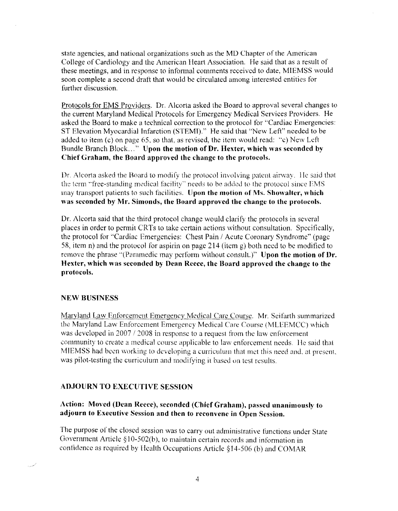state agencies, and national organizations such as the MD Chapter of the American College of Cardiology and the American Heart Association. He said that as a result of these meetings, and in response to informal comments received to date, MlEMSS would soon complete a second draft that would be circulated among interested entities for further discussion.

Protocols for EMS Providers. Dr. Alcorta asked the Board to approval several changes to the current Maryland Medical Protocols for Emergency Medical Services Providers. He asked the Board to make a technical correction to the protocol for ''Cardiac Emergencies: ST Elevation Myocardial Infarction (STEMl)." He said that "New Left" needed to be added to item (c) on page 65, so that, as revised, the item would read: "c) New Left Bundle Branch Block..." Upon the motion of Dr. Hexter, which was seconded by Chief Graham, the Board approved the change to the protocols.

Dr. Alcorta asked the Board to modify the protocol involving patent airway. He said that the term "free-standing medical facility" needs to be added to the protocol since EMS may transport patients to such facilities. Upon the motion of Ms. Showalter, which was seconded by Mr. Simonds, the Board approved the change to the protocols.

Dr. Alcorta said that the third protocol change would clarify the protocols in several places in order to permit CRTs to take certain actions without consultation. Specifically, the protocol for "Cardiac Emergencies: Chest Pain / Acute Coronary Syndrome" (page 58, item n) and the protocol for aspirin on page 214 (item g) both need to be modified to remove the phrase "(Paramedic may perform without consult.)" Upon the motion of Dr. Hexter, which was seconded by Dean Reece, the Board approved the change to the protocols.

# NEW BUSINESS

 $\overline{\phantom{a}}$ 

Maryland Law Enforcement Emergency Medical Care Course. Mr. Seifarth summarized the Maryland Law Enforcement Emergency Medical Care Course (MLEEMCC) which was developed in  $2007 / 2008$  in response to a request from the law enforcement community to create a medical course applicable to law enforcement needs. He said that MIEMSS had been working to developing a curriculum that met this need and, at present, was pilot-testing the curriculum and modifying it based on test results.

# ADJOURN TO EXECUTIVE SESSION

# Action: Moved (Dean Reece), seconded (Chief Graham), passed unanimously to adjourn to Executive Session and then to reconvene in Open Session.

The purpose of the closed session was to carry out administrative functions under State Government Article  $§ 10-502(b)$ , to maintain certain records and information in confidence as required by Health Occupations Article §14-506 (b) and COMAR